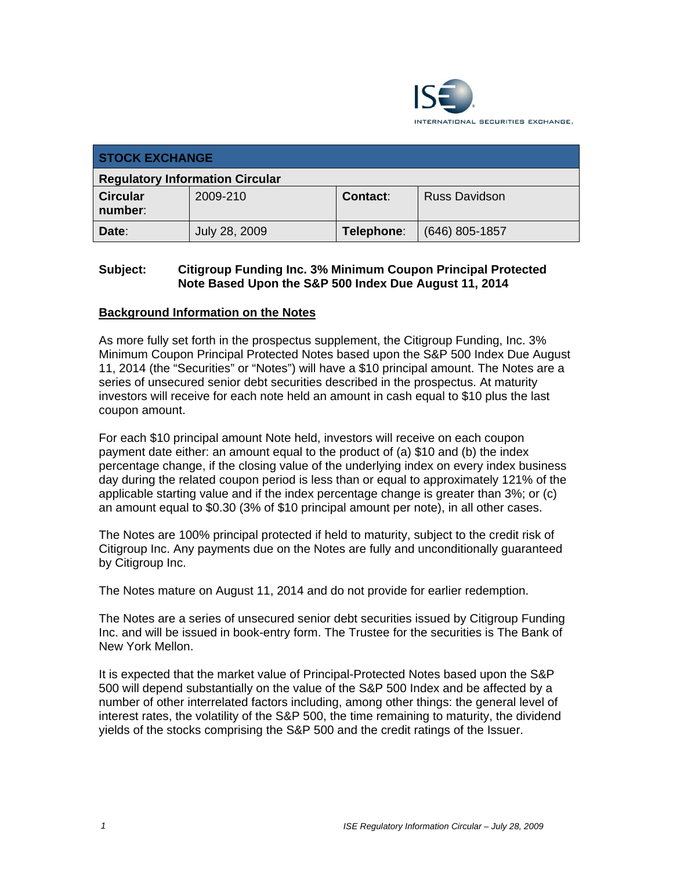

| <b>STOCK EXCHANGE</b>                  |               |            |                      |  |  |
|----------------------------------------|---------------|------------|----------------------|--|--|
| <b>Regulatory Information Circular</b> |               |            |                      |  |  |
| <b>Circular</b><br>number:             | 2009-210      | Contact:   | <b>Russ Davidson</b> |  |  |
| Date:                                  | July 28, 2009 | Telephone: | $(646)$ 805-1857     |  |  |

### **Subject: Citigroup Funding Inc. 3% Minimum Coupon Principal Protected Note Based Upon the S&P 500 Index Due August 11, 2014**

#### **Background Information on the Notes**

As more fully set forth in the prospectus supplement, the Citigroup Funding, Inc. 3% Minimum Coupon Principal Protected Notes based upon the S&P 500 Index Due August 11, 2014 (the "Securities" or "Notes") will have a \$10 principal amount. The Notes are a series of unsecured senior debt securities described in the prospectus. At maturity investors will receive for each note held an amount in cash equal to \$10 plus the last coupon amount.

For each \$10 principal amount Note held, investors will receive on each coupon payment date either: an amount equal to the product of (a) \$10 and (b) the index percentage change, if the closing value of the underlying index on every index business day during the related coupon period is less than or equal to approximately 121% of the applicable starting value and if the index percentage change is greater than 3%; or (c) an amount equal to \$0.30 (3% of \$10 principal amount per note), in all other cases.

The Notes are 100% principal protected if held to maturity, subject to the credit risk of Citigroup Inc. Any payments due on the Notes are fully and unconditionally guaranteed by Citigroup Inc.

The Notes mature on August 11, 2014 and do not provide for earlier redemption.

The Notes are a series of unsecured senior debt securities issued by Citigroup Funding Inc. and will be issued in book-entry form. The Trustee for the securities is The Bank of New York Mellon.

It is expected that the market value of Principal-Protected Notes based upon the S&P 500 will depend substantially on the value of the S&P 500 Index and be affected by a number of other interrelated factors including, among other things: the general level of interest rates, the volatility of the S&P 500, the time remaining to maturity, the dividend yields of the stocks comprising the S&P 500 and the credit ratings of the Issuer.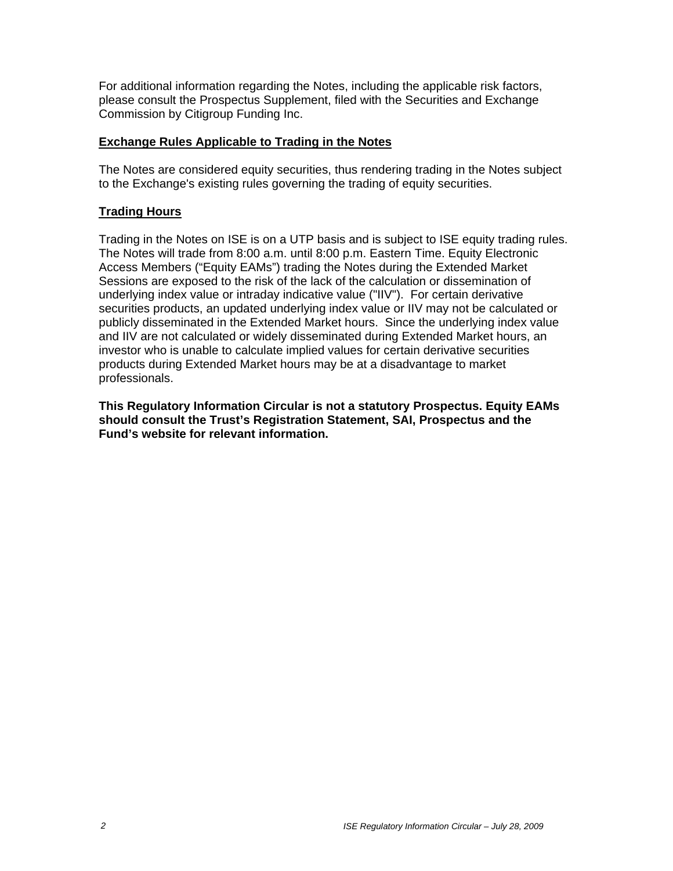For additional information regarding the Notes, including the applicable risk factors, please consult the Prospectus Supplement, filed with the Securities and Exchange Commission by Citigroup Funding Inc.

### **Exchange Rules Applicable to Trading in the Notes**

The Notes are considered equity securities, thus rendering trading in the Notes subject to the Exchange's existing rules governing the trading of equity securities.

## **Trading Hours**

Trading in the Notes on ISE is on a UTP basis and is subject to ISE equity trading rules. The Notes will trade from 8:00 a.m. until 8:00 p.m. Eastern Time. Equity Electronic Access Members ("Equity EAMs") trading the Notes during the Extended Market Sessions are exposed to the risk of the lack of the calculation or dissemination of underlying index value or intraday indicative value ("IIV"). For certain derivative securities products, an updated underlying index value or IIV may not be calculated or publicly disseminated in the Extended Market hours. Since the underlying index value and IIV are not calculated or widely disseminated during Extended Market hours, an investor who is unable to calculate implied values for certain derivative securities products during Extended Market hours may be at a disadvantage to market professionals.

**This Regulatory Information Circular is not a statutory Prospectus. Equity EAMs should consult the Trust's Registration Statement, SAI, Prospectus and the Fund's website for relevant information.**